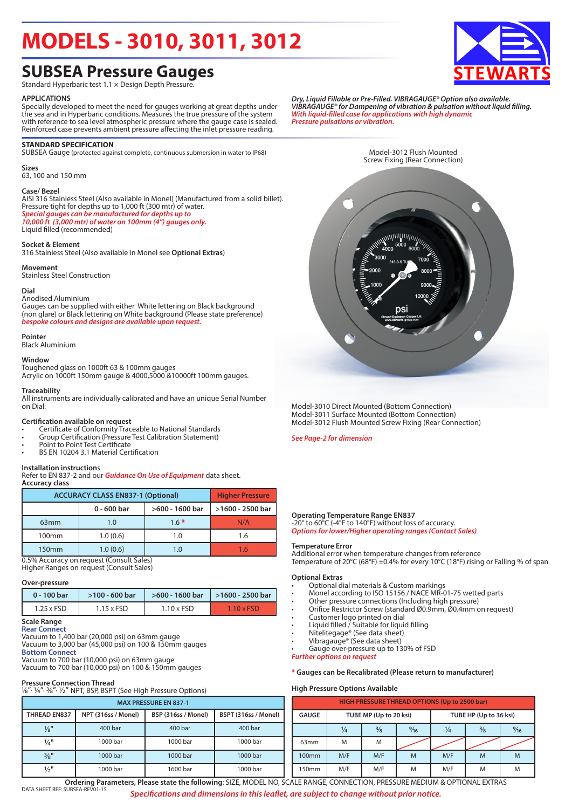## **MODELS - 3010, 3011, 3012**

### **SUBSEA Pressure Gauges**

Standard Hyperbaric test 1.1 × Design Depth Pressure.

#### **APPLICATIONS**

Specially developed to meet the need for gauges working at great depths under the sea and in Hyperbaric conditions. Measures the true pressure of the system with reference to sea level atmospheric pressure where the gauge case is sealed. Reinforced case prevents ambient pressure affecting the inlet pressure reading.

#### **STANDARD SPECIFICATION**

SUBSEA Gauge (protected against complete, continuous submersion in water to IP68)

**Sizes** 63, 100 and 150 mm

#### **Case/ Bezel**

AISI 316 Stainless Steel (Also available in Monel) (Manufactured from a solid billet). Pressure tight for depths up to 1,000 ft (300 mtr) of water. *Special gauges can be manufactured for depths up to 10,000 ft (3,000 mtr) of water on 100mm (4") gauges only.*

Liquid filled (recommended)

#### **Socket & Element**

316 Stainless Steel (Also available in Monel see **Optional Extras**)

#### **Movement**

Stainless Steel Construction

#### **Dial**

#### Anodised Aluminium

Gauges can be supplied with either White lettering on Black background (non glare) or Black lettering on White background (Please state preference) *bespoke colours and designs are available upon request.*

#### **Pointer**

Black Aluminium

#### **Window**

Toughened glass on 1000ft 63 & 100mm gauges Acrylic on 1000ft 150mm gauge & 4000,5000 &10000ft 100mm gauges.

#### **Traceability**

All instruments are individually calibrated and have an unique Serial Number on Dial.

#### **Certification available on request**

- Certificate of Conformity Traceable to National Standards
- Group Certification (Pressure Test Calibration Statement)
- Point to Point Test Certificate
- BS EN 10204 3.1 Material Certification

#### **Installation instruction**s

Refer to EN 837-2 and our *Guidance On Use of Equipment* data sheet. **Accuracy class**

| <b>ACCURACY CLASS EN837-1 (Optional)</b> | <b>Higher Pressure</b> |                  |     |  |
|------------------------------------------|------------------------|------------------|-----|--|
|                                          | $0 - 600$ bar          | >1600 - 2500 bar |     |  |
| 63 <sub>mm</sub>                         | 1.0                    | $1.6*$           | N/A |  |
| 100 <sub>mm</sub>                        | 1.0(0.6)               | 1.0              | 1.6 |  |
| 150 <sub>mm</sub>                        | 1.0(0.6)               | 1.0              | 1 6 |  |

0.5% Accuracy on request (Consult Sales) Higher Ranges on request (Consult Sales)

#### **Over-pressure**

| 0 - 100 bar       | $>100 - 600$ bar  |                   | $>600 - 1600$ bar   $>1600 - 2500$ bar |  |  |
|-------------------|-------------------|-------------------|----------------------------------------|--|--|
| $1.25 \times FSD$ | $1.15 \times FSD$ | $1.10 \times FSD$ | $1.10 \times FSD$                      |  |  |

#### **Scale Range Rear Connect**

Vacuum to 1,400 bar (20,000 psi) on 63mm gauge

Vacuum to 3,000 bar (45,000 psi) on 100 & 150mm gauges **Bottom Connect** Vacuum to 700 bar (10,000 psi) on 63mm gauge

Vacuum to 700 bar (10,000 psi) on 100 & 150mm gauges

**Pressure Connection Thread<br>½"<sup>,</sup> ½"<sup>, ½</sup>&"<sup>,</sup> ½" NPT, BSP, BSPT (See High Pressure Options)** 

| <b>MAX PRESSURE EN 837-1</b> |                     |                     |                      |  |  |  |  |  |  |
|------------------------------|---------------------|---------------------|----------------------|--|--|--|--|--|--|
| <b>THREAD EN837</b>          | NPT (316ss / Monel) | BSP (316ss / Monel) | BSPT (316ss / Monel) |  |  |  |  |  |  |
| $\frac{1}{8}$ "              | 400 bar             | 400 bar             | 400 bar              |  |  |  |  |  |  |
| $\frac{1}{4}$ "              | 1000 bar            | 1000 bar            | 1000 bar             |  |  |  |  |  |  |
| $\frac{3}{8}$ "              | 1000 bar            | 1000 bar            | 1000 bar             |  |  |  |  |  |  |
| $\frac{1}{2}$ "              | 1000 bar            | 1600 bar            | 1000 bar             |  |  |  |  |  |  |

*Dry, Liquid Fillable or Pre-Filled. VIBRAGAUGE® Option also available. VIBRAGAUGE® for Dampening of vibration & pulsation without liquid filling. With liquid-filled case for applications with high dynamic Pressure pulsations or vibration.*



Model-3010 Direct Mounted (Bottom Connection) Model-3011 Surface Mounted (Bottom Connection) Model-3012 Flush Mounted Screw Fixing (Rear Connection)

*See Page-2 for dimension*

#### **Operating Temperature Range EN837**

-20° to 60°C (-4°F to 140°F) without loss of accuracy. *Options for lower/Higher operating ranges (Contact Sales)*

#### **Temperature Error**

Additional error when temperature changes from reference Temperature of 20°C (68°F) ±0.4% for every 10°C (18°F) rising or Falling % of span

#### **Optional Extras**

- Optional dial materials & Custom markings
- Monel according to ISO 15156 / NACE MR-01-75 wetted parts
- Other pressure connections (Including high pressure)
- Orifice Restrictor Screw (standard Ø0.9mm, Ø0.4mm on request)
- Customer logo printed on dial
- Liquid filled / Suitable for liquid filling
- Nitelitegage® (See data sheet)
- Vibragauge® (See data sheet) Gauge over-pressure up to 130% of FSD

*Further options on request*

#### **\* Gauges can be Recalibrated (Please return to manufacturer)**

#### **High Pressure Options Available**

| <b>HIGH PRESSURE THREAD OPTIONS (Up to 2500 bar)</b> |               |                                                       |   |                        |   |   |  |  |  |
|------------------------------------------------------|---------------|-------------------------------------------------------|---|------------------------|---|---|--|--|--|
| <b>GAUGE</b>                                         |               | TUBE MP (Up to 20 ksi)                                |   | TUBE HP (Up to 36 ksi) |   |   |  |  |  |
|                                                      | $\frac{1}{4}$ | $\frac{3}{8}$<br>$\frac{9}{16}$<br>$\frac{3}{8}$<br>¼ |   |                        |   |   |  |  |  |
| 63 <sub>mm</sub>                                     | M             | M                                                     |   |                        |   |   |  |  |  |
| 100mm                                                | M/F           | M/F                                                   | M | M/F                    | M |   |  |  |  |
| 150mm                                                | M/F           | M/F                                                   | M | M/F                    | M | M |  |  |  |

DATA SHEET REF: SUBSEA-REV01-15 *Specifications and dimensions in this leaflet, are subject to change without prior notice.* **Ordering Parameters, Please state the following**: SIZE, MODEL NO, SCALE RANGE, CONNECTION, PRESSURE MEDIUM & OPTIONAL EXTRAS